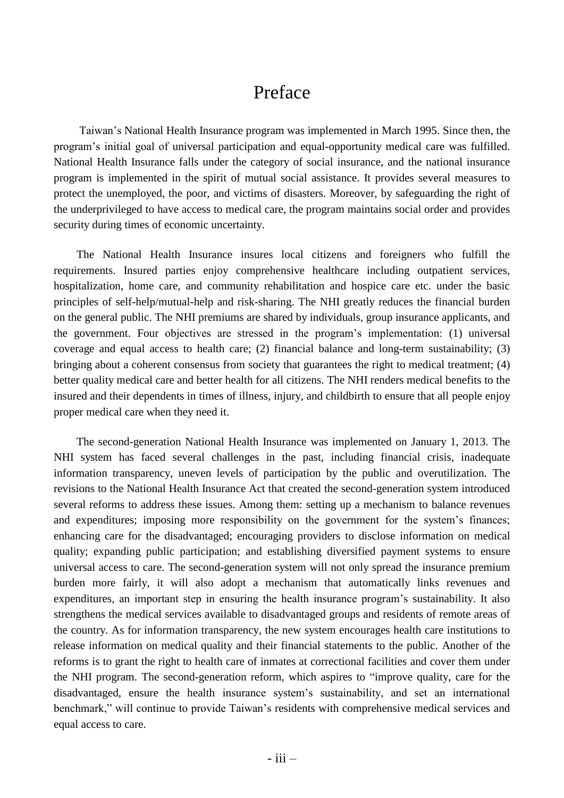## Preface

Taiwan's National Health Insurance program was implemented in March 1995. Since then, the program's initial goal of universal participation and equal-opportunity medical care was fulfilled. National Health Insurance falls under the category of social insurance, and the national insurance program is implemented in the spirit of mutual social assistance. It provides several measures to protect the unemployed, the poor, and victims of disasters. Moreover, by safeguarding the right of the underprivileged to have access to medical care, the program maintains social order and provides security during times of economic uncertainty.

The National Health Insurance insures local citizens and foreigners who fulfill the requirements. Insured parties enjoy comprehensive healthcare including outpatient services, hospitalization, home care, and community rehabilitation and hospice care etc. under the basic principles of self-help/mutual-help and risk-sharing. The NHI greatly reduces the financial burden on the general public. The NHI premiums are shared by individuals, group insurance applicants, and the government. Four objectives are stressed in the program's implementation: (1) universal coverage and equal access to health care; (2) financial balance and long-term sustainability; (3) bringing about a coherent consensus from society that guarantees the right to medical treatment; (4) better quality medical care and better health for all citizens. The NHI renders medical benefits to the insured and their dependents in times of illness, injury, and childbirth to ensure that all people enjoy proper medical care when they need it.

The second-generation National Health Insurance was implemented on January 1, 2013. The NHI system has faced several challenges in the past, including financial crisis, inadequate information transparency, uneven levels of participation by the public and overutilization. The revisions to the National Health Insurance Act that created the second-generation system introduced several reforms to address these issues. Among them: setting up a mechanism to balance revenues and expenditures; imposing more responsibility on the government for the system's finances; enhancing care for the disadvantaged; encouraging providers to disclose information on medical quality; expanding public participation; and establishing diversified payment systems to ensure universal access to care. The second-generation system will not only spread the insurance premium burden more fairly, it will also adopt a mechanism that automatically links revenues and expenditures, an important step in ensuring the health insurance program's sustainability. It also strengthens the medical services available to disadvantaged groups and residents of remote areas of the country. As for information transparency, the new system encourages health care institutions to release information on medical quality and their financial statements to the public. Another of the reforms is to grant the right to health care of inmates at correctional facilities and cover them under the NHI program. The second-generation reform, which aspires to "improve quality, care for the disadvantaged, ensure the health insurance system's sustainability, and set an international benchmark," will continue to provide Taiwan's residents with comprehensive medical services and equal access to care.